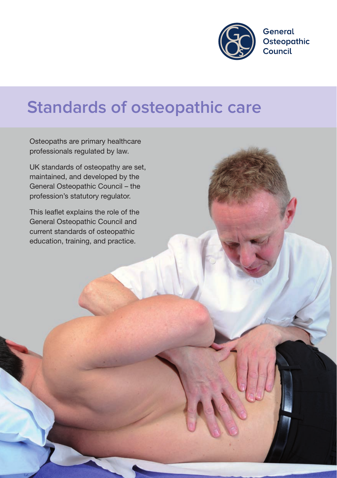

# **Standards of osteopathic care**

Osteopaths are primary healthcare professionals regulated by law.

UK standards of osteopathy are set, maintained, and developed by the General Osteopathic Council – the profession's statutory regulator.

This leaflet explains the role of the General Osteopathic Council and current standards of osteopathic education, training, and practice.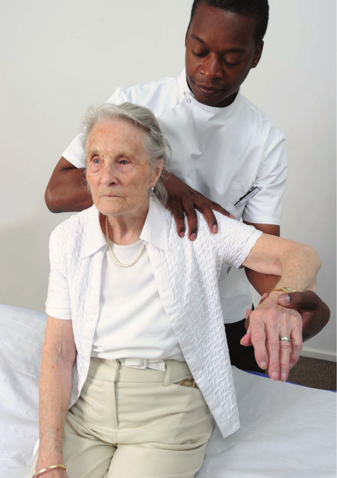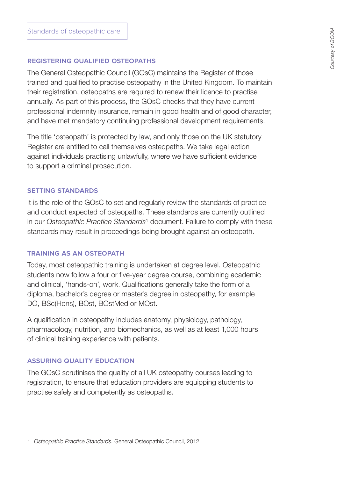## **Registering qualified osteopaths**

The General Osteopathic Council (GOsC) maintains the Register of those trained and qualified to practise osteopathy in the United Kingdom. To maintain their registration, osteopaths are required to renew their licence to practise annually. As part of this process, the GOsC checks that they have current professional indemnity insurance, remain in good health and of good character, and have met mandatory continuing professional development requirements.

The title 'osteopath' is protected by law, and only those on the UK statutory Register are entitled to call themselves osteopaths. We take legal action against individuals practising unlawfully, where we have sufficient evidence to support a criminal prosecution.

## **Setting standards**

It is the role of the GOsC to set and regularly review the standards of practice and conduct expected of osteopaths. These standards are currently outlined in our Osteopathic Practice Standards<sup>1</sup> document. Failure to comply with these standards may result in proceedings being brought against an osteopath.

## **Training as an osteopath**

Today, most osteopathic training is undertaken at degree level. Osteopathic students now follow a four or five-year degree course, combining academic and clinical, 'hands-on', work. Qualifications generally take the form of a diploma, bachelor's degree or master's degree in osteopathy, for example DO, BSc(Hons), BOst, BOstMed or MOst.

A qualification in osteopathy includes anatomy, physiology, pathology, pharmacology, nutrition, and biomechanics, as well as at least 1,000 hours of clinical training experience with patients.

## **Assuring quality education**

The GOsC scrutinises the quality of all UK osteopathy courses leading to registration, to ensure that education providers are equipping students to practise safely and competently as osteopaths.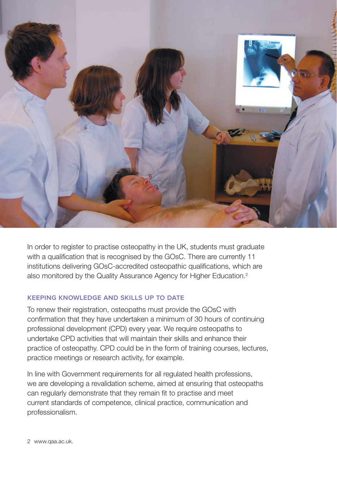

In order to register to practise osteopathy in the UK, students must graduate with a qualification that is recognised by the GOsC. There are currently 11 institutions delivering GOsC-accredited osteopathic qualifications, which are also monitored by the Quality Assurance Agency for Higher Education.<sup>2</sup>

## **Keeping knowledge and skills up to date**

To renew their registration, osteopaths must provide the GOsC with confirmation that they have undertaken a minimum of 30 hours of continuing professional development (CPD) every year. We require osteopaths to undertake CPD activities that will maintain their skills and enhance their practice of osteopathy. CPD could be in the form of training courses, lectures, practice meetings or research activity, for example.

In line with Government requirements for all requiated health professions, we are developing a revalidation scheme, aimed at ensuring that osteopaths can regularly demonstrate that they remain fit to practise and meet current standards of competence, clinical practice, communication and professionalism.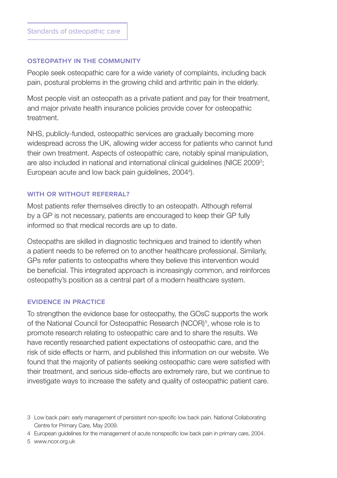#### **Osteopathy in the community**

People seek osteopathic care for a wide variety of complaints, including back pain, postural problems in the growing child and arthritic pain in the elderly.

Most people visit an osteopath as a private patient and pay for their treatment, and major private health insurance policies provide cover for osteopathic treatment.

NHS, publicly-funded, osteopathic services are gradually becoming more widespread across the UK, allowing wider access for patients who cannot fund their own treatment. Aspects of osteopathic care, notably spinal manipulation, are also included in national and international clinical guidelines (NICE 2009<sup>3</sup>; European acute and low back pain guidelines, 2004<sup>4</sup>).

### **With or without referral?**

Most patients refer themselves directly to an osteopath. Although referral by a GP is not necessary, patients are encouraged to keep their GP fully informed so that medical records are up to date.

Osteopaths are skilled in diagnostic techniques and trained to identify when a patient needs to be referred on to another healthcare professional. Similarly, GPs refer patients to osteopaths where they believe this intervention would be beneficial. This integrated approach is increasingly common, and reinforces osteopathy's position as a central part of a modern healthcare system.

### **Evidence in practice**

To strengthen the evidence base for osteopathy, the GOsC supports the work of the National Council for Osteopathic Research (NCOR)<sup>5</sup>, whose role is to promote research relating to osteopathic care and to share the results. We have recently researched patient expectations of osteopathic care, and the risk of side effects or harm, and published this information on our website. We found that the majority of patients seeking osteopathic care were satisfied with their treatment, and serious side-effects are extremely rare, but we continue to investigate ways to increase the safety and quality of osteopathic patient care.

5 www.ncor.org.uk

<sup>3</sup> Low back pain: early management of persistent non-specific low back pain. National Collaborating Centre for Primary Care, May 2009.

<sup>4</sup> European guidelines for the management of acute nonspecific low back pain in primary care, 2004.